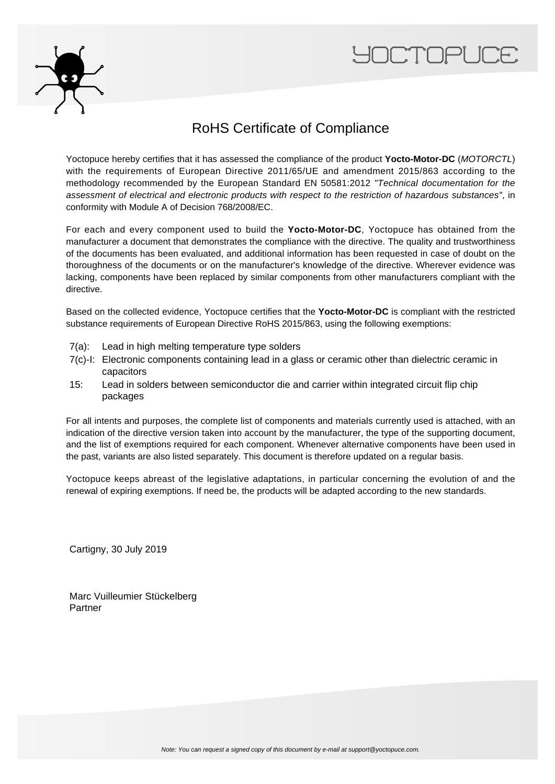



## RoHS Certificate of Compliance

Yoctopuce hereby certifies that it has assessed the compliance of the product **Yocto-Motor-DC** (MOTORCTL) with the requirements of European Directive 2011/65/UE and amendment 2015/863 according to the methodology recommended by the European Standard EN 50581:2012 "Technical documentation for the assessment of electrical and electronic products with respect to the restriction of hazardous substances", in conformity with Module A of Decision 768/2008/EC.

For each and every component used to build the **Yocto-Motor-DC**, Yoctopuce has obtained from the manufacturer a document that demonstrates the compliance with the directive. The quality and trustworthiness of the documents has been evaluated, and additional information has been requested in case of doubt on the thoroughness of the documents or on the manufacturer's knowledge of the directive. Wherever evidence was lacking, components have been replaced by similar components from other manufacturers compliant with the directive.

Based on the collected evidence, Yoctopuce certifies that the **Yocto-Motor-DC** is compliant with the restricted substance requirements of European Directive RoHS 2015/863, using the following exemptions:

- 7(a): Lead in high melting temperature type solders
- 7(c)-I: Electronic components containing lead in a glass or ceramic other than dielectric ceramic in capacitors
- 15: Lead in solders between semiconductor die and carrier within integrated circuit flip chip packages

For all intents and purposes, the complete list of components and materials currently used is attached, with an indication of the directive version taken into account by the manufacturer, the type of the supporting document, and the list of exemptions required for each component. Whenever alternative components have been used in the past, variants are also listed separately. This document is therefore updated on a regular basis.

Yoctopuce keeps abreast of the legislative adaptations, in particular concerning the evolution of and the renewal of expiring exemptions. If need be, the products will be adapted according to the new standards.

Cartigny, 30 July 2019

Marc Vuilleumier Stückelberg Partner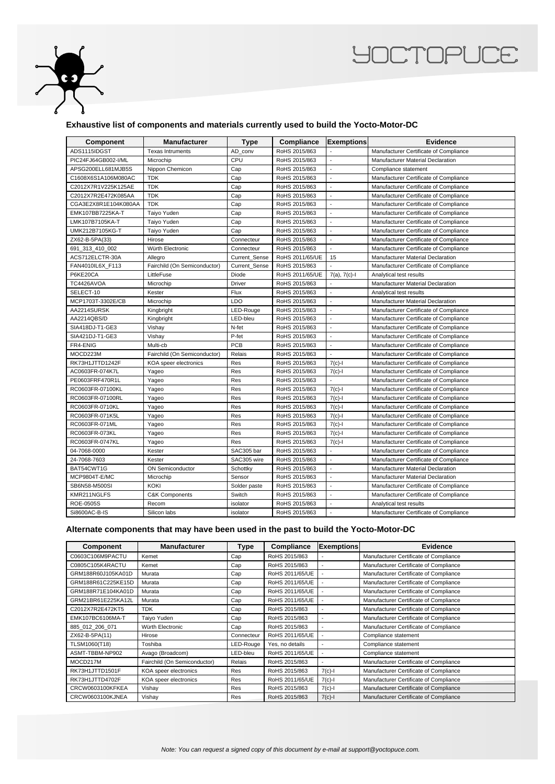

## **YOCTOPUCE**

## **Exhaustive list of components and materials currently used to build the Yocto-Motor-DC**

| Component            | <b>Manufacturer</b>          | <b>Type</b>          | Compliance      | <b>Exemptions</b>        | <b>Evidence</b>                          |
|----------------------|------------------------------|----------------------|-----------------|--------------------------|------------------------------------------|
| ADS1115IDGST         | <b>Texas Intruments</b>      | AD_conv              | RoHS 2015/863   |                          | Manufacturer Certificate of Compliance   |
| PIC24FJ64GB002-I/ML  | Microchip                    | CPU                  | RoHS 2015/863   | $\overline{\phantom{a}}$ | Manufacturer Material Declaration        |
| APSG200ELL681MJB5S   | Nippon Chemicon              | Cap                  | RoHS 2015/863   | $\overline{a}$           | Compliance statement                     |
| C1608X6S1A106M080AC  | <b>TDK</b>                   | Cap                  | RoHS 2015/863   | $\sim$                   | Manufacturer Certificate of Compliance   |
| C2012X7R1V225K125AE  | <b>TDK</b>                   | Cap                  | RoHS 2015/863   | $\overline{a}$           | Manufacturer Certificate of Compliance   |
| C2012X7R2E472K085AA  | <b>TDK</b>                   | Cap                  | RoHS 2015/863   | ÷,                       | Manufacturer Certificate of Compliance   |
| CGA3E2X8R1E104K080AA | <b>TDK</b>                   | Cap                  | RoHS 2015/863   | $\overline{a}$           | Manufacturer Certificate of Compliance   |
| EMK107BB7225KA-T     | Taiyo Yuden                  | Cap                  | RoHS 2015/863   | $\overline{\phantom{a}}$ | Manufacturer Certificate of Compliance   |
| LMK107B7105KA-T      | Taiyo Yuden                  | Cap                  | RoHS 2015/863   | $\overline{a}$           | Manufacturer Certificate of Compliance   |
| UMK212B7105KG-T      | Taiyo Yuden                  | Cap                  | RoHS 2015/863   | $\overline{a}$           | Manufacturer Certificate of Compliance   |
| ZX62-B-5PA(33)       | Hirose                       | Connecteur           | RoHS 2015/863   | $\overline{a}$           | Manufacturer Certificate of Compliance   |
| 691_313_410_002      | Würth Electronic             | Connecteur           | RoHS 2015/863   | $\overline{\phantom{a}}$ | Manufacturer Certificate of Compliance   |
| ACS712ELCTR-30A      | Allegro                      | <b>Current Sense</b> | RoHS 2011/65/UE | 15                       | <b>Manufacturer Material Declaration</b> |
| FAN4010IL6X_F113     | Fairchild (On Semiconductor) | Current Sense        | RoHS 2015/863   |                          | Manufacturer Certificate of Compliance   |
| P6KE20CA             | LittleFuse                   | Diode                | RoHS 2011/65/UE | $7(a)$ , $7(c)$ -l       | Analytical test results                  |
| TC4426AVOA           | Microchip                    | Driver               | RoHS 2015/863   |                          | Manufacturer Material Declaration        |
| SELECT-10            | Kester                       | Flux                 | RoHS 2015/863   | $\overline{\phantom{a}}$ | Analytical test results                  |
| MCP1703T-3302E/CB    | Microchip                    | LDO                  | RoHS 2015/863   | $\overline{\phantom{a}}$ | Manufacturer Material Declaration        |
| AA2214SURSK          | Kingbright                   | LED-Rouge            | RoHS 2015/863   | $\overline{\phantom{a}}$ | Manufacturer Certificate of Compliance   |
| AA2214QBS/D          | Kingbright                   | LED-bleu             | RoHS 2015/863   | $\overline{a}$           | Manufacturer Certificate of Compliance   |
| SIA418DJ-T1-GE3      | Vishay                       | N-fet                | RoHS 2015/863   | $\overline{a}$           | Manufacturer Certificate of Compliance   |
| SIA421DJ-T1-GE3      | Vishay                       | P-fet                | RoHS 2015/863   | $\overline{\phantom{a}}$ | Manufacturer Certificate of Compliance   |
| FR4-ENIG             | Multi-cb                     | PCB                  | RoHS 2015/863   | $\overline{a}$           | Manufacturer Certificate of Compliance   |
| MOCD223M             | Fairchild (On Semiconductor) | Relais               | RoHS 2015/863   | $\overline{\phantom{a}}$ | Manufacturer Certificate of Compliance   |
| RK73H1JTTD1242F      | KOA speer electronics        | Res                  | RoHS 2015/863   | $7(c)-1$                 | Manufacturer Certificate of Compliance   |
| AC0603FR-074K7L      | Yageo                        | Res                  | RoHS 2015/863   | $7(c) -$                 | Manufacturer Certificate of Compliance   |
| PE0603FRF470R1L      | Yageo                        | Res                  | RoHS 2015/863   |                          | Manufacturer Certificate of Compliance   |
| RC0603FR-07100KL     | Yageo                        | Res                  | RoHS 2015/863   | $7(c) - 1$               | Manufacturer Certificate of Compliance   |
| RC0603FR-07100RL     | Yageo                        | Res                  | RoHS 2015/863   | $7(c)-1$                 | Manufacturer Certificate of Compliance   |
| RC0603FR-0710KL      | Yageo                        | Res                  | RoHS 2015/863   | $7(c)-1$                 | Manufacturer Certificate of Compliance   |
| RC0603FR-071K5L      | Yageo                        | Res                  | RoHS 2015/863   | $7(c)$ -l                | Manufacturer Certificate of Compliance   |
| RC0603FR-071ML       | Yageo                        | Res                  | RoHS 2015/863   | $7(c)-1$                 | Manufacturer Certificate of Compliance   |
| RC0603FR-073KL       | Yageo                        | Res                  | RoHS 2015/863   | $7(c)-1$                 | Manufacturer Certificate of Compliance   |
| RC0603FR-0747KL      | Yageo                        | Res                  | RoHS 2015/863   | $7(c) -$                 | Manufacturer Certificate of Compliance   |
| 04-7068-0000         | Kester                       | SAC305 bar           | RoHS 2015/863   | $\blacksquare$           | Manufacturer Certificate of Compliance   |
| 24-7068-7603         | Kester                       | SAC305 wire          | RoHS 2015/863   | $\overline{a}$           | Manufacturer Certificate of Compliance   |
| BAT54CWT1G           | <b>ON Semiconductor</b>      | Schottky             | RoHS 2015/863   | $\overline{\phantom{a}}$ | <b>Manufacturer Material Declaration</b> |
| MCP9804T-E/MC        | Microchip                    | Sensor               | RoHS 2015/863   | $\overline{a}$           | <b>Manufacturer Material Declaration</b> |
| SB6N58-M500SI        | <b>KOKI</b>                  | Solder paste         | RoHS 2015/863   | $\overline{a}$           | Manufacturer Certificate of Compliance   |
| KMR211NGLFS          | <b>C&amp;K Components</b>    | Switch               | RoHS 2015/863   | ÷,                       | Manufacturer Certificate of Compliance   |
| ROE-0505S            | Recom                        | isolator             | RoHS 2015/863   | $\blacksquare$           | Analytical test results                  |
| Si8600AC-B-IS        | Silicon labs                 | isolator             | RoHS 2015/863   | $\overline{a}$           | Manufacturer Certificate of Compliance   |

## **Alternate components that may have been used in the past to build the Yocto-Motor-DC**

| <b>Component</b>   | <b>Manufacturer</b>          | Type       | Compliance      | <b>Exemptions</b> | <b>Evidence</b>                        |
|--------------------|------------------------------|------------|-----------------|-------------------|----------------------------------------|
| C0603C106M9PACTU   | Kemet                        | Cap        | RoHS 2015/863   |                   | Manufacturer Certificate of Compliance |
| C0805C105K4RACTU   | Kemet                        | Cap        | RoHS 2015/863   |                   | Manufacturer Certificate of Compliance |
| GRM188R60J105KA01D | Murata                       | Cap        | RoHS 2011/65/UE |                   | Manufacturer Certificate of Compliance |
| GRM188R61C225KE15D | Murata                       | Cap        | RoHS 2011/65/UE |                   | Manufacturer Certificate of Compliance |
| GRM188R71E104KA01D | Murata                       | Cap        | RoHS 2011/65/UE |                   | Manufacturer Certificate of Compliance |
| GRM21BR61E225KA12L | Murata                       | Cap        | RoHS 2011/65/UE |                   | Manufacturer Certificate of Compliance |
| C2012X7R2E472KT5   | <b>TDK</b>                   | Cap        | RoHS 2015/863   |                   | Manufacturer Certificate of Compliance |
| EMK107BC6106MA-T   | Taiyo Yuden                  | Cap        | RoHS 2015/863   |                   | Manufacturer Certificate of Compliance |
| 885_012_206_071    | Würth Electronic             | Cap        | RoHS 2015/863   |                   | Manufacturer Certificate of Compliance |
| ZX62-B-5PA(11)     | Hirose                       | Connecteur | RoHS 2011/65/UE |                   | Compliance statement                   |
| TLSM1060(T18)      | Toshiba                      | LED-Rouge  | Yes, no details |                   | Compliance statement                   |
| ASMT-TBBM-NP902    | Avago (Broadcom)             | LED-bleu   | RoHS 2011/65/UE |                   | Compliance statement                   |
| MOCD217M           | Fairchild (On Semiconductor) | Relais     | RoHS 2015/863   |                   | Manufacturer Certificate of Compliance |
| RK73H1JTTD1501F    | KOA speer electronics        | Res        | RoHS 2015/863   | $7(c)-1$          | Manufacturer Certificate of Compliance |
| RK73H1JTTD4702F    | KOA speer electronics        | Res        | RoHS 2011/65/UE | $7(c) - 1$        | Manufacturer Certificate of Compliance |
| CRCW0603100KFKEA   | Vishay                       | Res        | RoHS 2015/863   | $7(c)-1$          | Manufacturer Certificate of Compliance |
| CRCW0603100KJNEA   | Vishay                       | Res        | RoHS 2015/863   | $7(c)-1$          | Manufacturer Certificate of Compliance |